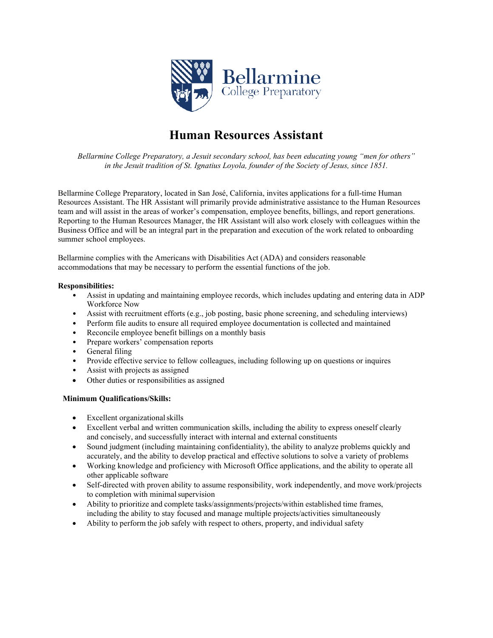

# **Human Resources Assistant**

*Bellarmine College Preparatory, a Jesuit secondary school, has been educating young "men for others" in the Jesuit tradition of St. Ignatius Loyola, founder of the Society of Jesus, since 1851.*

Bellarmine College Preparatory, located in San José, California, invites applications for a full-time Human Resources Assistant. The HR Assistant will primarily provide administrative assistance to the Human Resources team and will assist in the areas of worker's compensation, employee benefits, billings, and report generations. Reporting to the Human Resources Manager, the HR Assistant will also work closely with colleagues within the Business Office and will be an integral part in the preparation and execution of the work related to onboarding summer school employees.

Bellarmine complies with the Americans with Disabilities Act (ADA) and considers reasonable accommodations that may be necessary to perform the essential functions of the job.

# **Responsibilities:**

- Assist in updating and maintaining employee records, which includes updating and entering data in ADP Workforce Now
- Assist with recruitment efforts (e.g., job posting, basic phone screening, and scheduling interviews)
- Perform file audits to ensure all required employee documentation is collected and maintained
- Reconcile employee benefit billings on a monthly basis
- Prepare workers' compensation reports
- General filing
- Provide effective service to fellow colleagues, including following up on questions or inquires
- Assist with projects as assigned
- Other duties or responsibilities as assigned

# **Minimum Qualifications/Skills:**

- Excellent organizational skills
- Excellent verbal and written communication skills, including the ability to express oneself clearly and concisely, and successfully interact with internal and external constituents
- Sound judgment (including maintaining confidentiality), the ability to analyze problems quickly and accurately, and the ability to develop practical and effective solutions to solve a variety of problems
- Working knowledge and proficiency with Microsoft Office applications, and the ability to operate all other applicable software
- Self-directed with proven ability to assume responsibility, work independently, and move work/projects to completion with minimal supervision
- Ability to prioritize and complete tasks/assignments/projects/within established time frames, including the ability to stay focused and manage multiple projects/activities simultaneously
- Ability to perform the job safely with respect to others, property, and individual safety